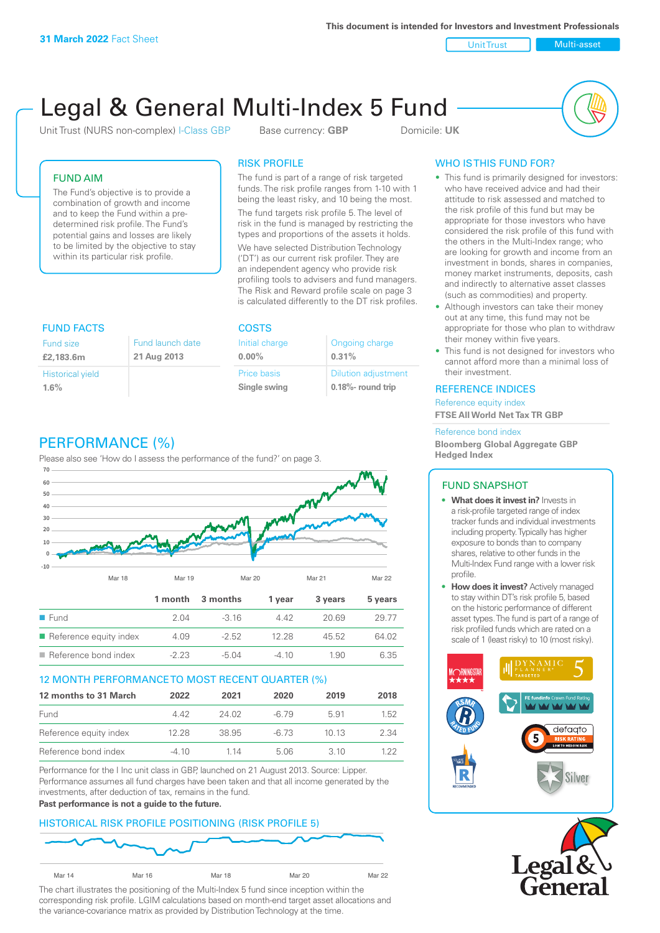**This document is intended for Investors and Investment Professionals**

Unit Trust Nulti-asset

# Legal & General Multi-Index 5 Fund

Unit Trust (NURS non-complex) I-Class GBP Base currency: **GBP** Domicile: UK



# FUND AIM

The Fund's objective is to provide a combination of growth and income and to keep the Fund within a predetermined risk profile. The Fund's potential gains and losses are likely to be limited by the objective to stay within its particular risk profile.

# RISK PROFILE

The fund is part of a range of risk targeted funds. The risk profile ranges from 1-10 with 1 being the least risky, and 10 being the most.

The fund targets risk profile 5. The level of risk in the fund is managed by restricting the types and proportions of the assets it holds. We have selected Distribution Technology ('DT') as our current risk profiler. They are an independent agency who provide risk profiling tools to advisers and fund managers. The Risk and Reward profile scale on page 3 is calculated differently to the DT risk profiles.

| <b>FUND FACTS</b>       |                  | <b>COSTS</b>   |                            |  |
|-------------------------|------------------|----------------|----------------------------|--|
| <b>Fund size</b>        | Fund launch date | Initial charge | Ongoing charge             |  |
| £2,183.6m               | 21 Aug 2013      | $0.00\%$       | 0.31%                      |  |
| <b>Historical yield</b> |                  | Price basis    | <b>Dilution adjustment</b> |  |
| 1.6%                    |                  | Single swing   | $0.18\%$ - round trip      |  |

# PERFORMANCE (%)

Please also see 'How do I assess the performance of the fund?' on page 3.



### 12 MONTH PERFORMANCE TO MOST RECENT QUARTER (%)

| 12 months to 31 March  | 2022    | 2021  | 2020   | 2019  | 2018 |
|------------------------|---------|-------|--------|-------|------|
| Fund                   | 442     | 24.02 | -6.79  | 5.91  | 1.52 |
| Reference equity index | 12.28   | 38.95 | $-673$ | 1013  | 2.34 |
| Reference bond index   | $-4.10$ | 1 14  | 5.06   | 3 1 O | 1 22 |

Performance for the I Inc unit class in GBP, launched on 21 August 2013. Source: Lipper. Performance assumes all fund charges have been taken and that all income generated by the investments, after deduction of tax, remains in the fund.

#### **Past performance is not a guide to the future.**

# HISTORICAL RISK PROFILE POSITIONING (RISK PROFILE 5)



The chart illustrates the positioning of the Multi-Index 5 fund since inception within the corresponding risk profile. LGIM calculations based on month-end target asset allocations and the variance-covariance matrix as provided by Distribution Technology at the time.

# WHO IS THIS FUND FOR?

- This fund is primarily designed for investors: who have received advice and had their attitude to risk assessed and matched to the risk profile of this fund but may be appropriate for those investors who have considered the risk profile of this fund with the others in the Multi-Index range; who are looking for growth and income from an investment in bonds, shares in companies, money market instruments, deposits, cash and indirectly to alternative asset classes (such as commodities) and property.
- Although investors can take their money out at any time, this fund may not be appropriate for those who plan to withdraw their money within five years.
- This fund is not designed for investors who cannot afford more than a minimal loss of their investment.

### REFERENCE INDICES

Reference equity index **FTSE All World Net Tax TR GBP**

#### Reference bond index

**Bloomberg Global Aggregate GBP Hedged Index**

# FUND SNAPSHOT

- **• What does it invest in?** Invests in a risk-profile targeted range of index tracker funds and individual investments including property. Typically has higher exposure to bonds than to company shares, relative to other funds in the Multi-Index Fund range with a lower risk profile.
- **• How does it invest?** Actively managed to stay within DT's risk profile 5, based on the historic performance of different asset types. The fund is part of a range of risk profiled funds which are rated on a scale of 1 (least risky) to 10 (most risky).



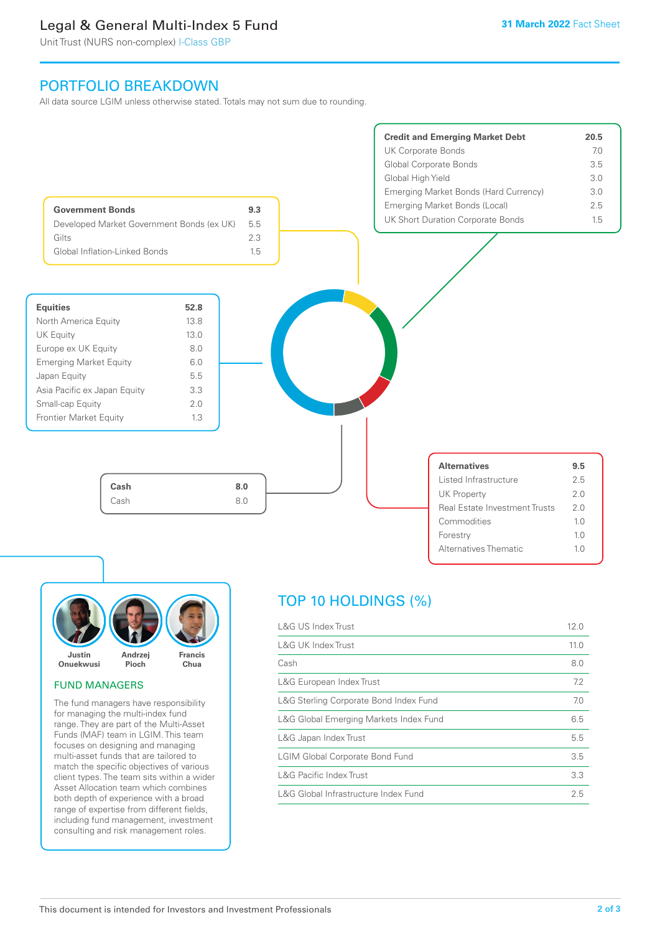# Legal & General Multi-Index 5 Fund

Unit Trust (NURS non-complex) I-Class GBP

# PORTFOLIO BREAKDOWN

All data source LGIM unless otherwise stated. Totals may not sum due to rounding.





#### FUND MANAGERS

The fund managers have responsibility for managing the multi-index fund range. They are part of the Multi-Asset Funds (MAF) team in LGIM. This team focuses on designing and managing multi-asset funds that are tailored to match the specific objectives of various client types. The team sits within a wider Asset Allocation team which combines both depth of experience with a broad range of expertise from different fields, including fund management, investment consulting and risk management roles.

# TOP 10 HOLDINGS (%)

| L&G US Index Trust                     | 12.0 |
|----------------------------------------|------|
| <b>L&amp;G UK Index Trust</b>          | 11.0 |
| Cash                                   | 8.0  |
| L&G European Index Trust               | 7.2  |
| L&G Sterling Corporate Bond Index Fund | 7.0  |
| L&G Global Emerging Markets Index Fund | 6.5  |
| L&G Japan Index Trust                  | 5.5  |
| <b>LGIM Global Corporate Bond Fund</b> | 3.5  |
| <b>L&amp;G Pacific Index Trust</b>     | 3.3  |
| L&G Global Infrastructure Index Fund   | 2.5  |